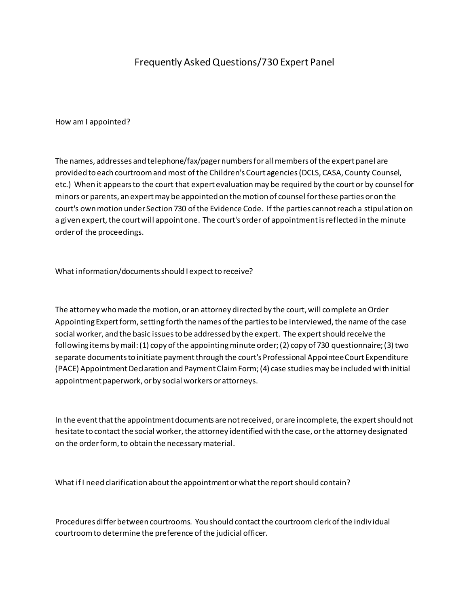## Frequently Asked Questions/730 Expert Panel

How am I appointed?

The names, addresses and telephone/fax/pager numbers for all members of the expert panel are provided to each courtroom and most of the Children's Court agencies (DCLS, CASA, County Counsel, etc.) When it appears to the court that expert evaluation may be required by the court or by counsel for minors or parents, an expert may be appointed on the motion of counsel for these parties or on the court's own motion under Section 730 of the Evidence Code. If the parties cannot reach a stipulation on a given expert, the court will appoint one. The court's order of appointment is reflected in the minute order of the proceedings.

What information/documents should I expect to receive?

The attorney who made the motion, or an attorney directed by the court, will complete an Order Appointing Expert form, setting forth the names of the parties to be interviewed, the name of the case social worker, and the basic issues to be addressed by the expert. The expert should receive the following items by mail: (1) copy of the appointing minute order; (2) copy of 730 questionnaire; (3) two separate documents to initiate payment through the court's Professional Appointee Court Expenditure (PACE) Appointment Declaration and Payment Claim Form; (4) case studies may be included wi th initial appointment paperwork, or by social workers or attorneys.

In the event that the appointment documents are not received, or are incomplete, the expert should not hesitate to contact the social worker, the attorney identified with the case, or the attorney designated on the order form, to obtain the necessary material.

What if I need clarification about the appointment or what the report should contain?

Procedures differ between courtrooms. You should contact the courtroom clerk of the indiv idual courtroom to determine the preference of the judicial officer.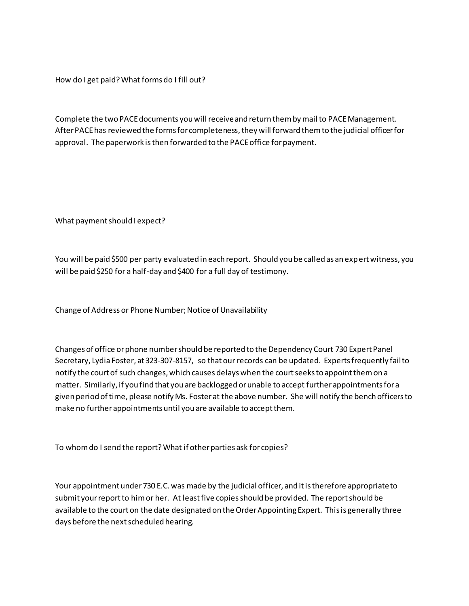How do I get paid? What forms do I fill out?

Complete the two PACE documents you will receive and return them by mail to PACE Management. After PACE has reviewed the forms for completeness, they will forward them to the judicial officer for approval. The paperwork is then forwarded to the PACE office for payment.

What payment should I expect?

You will be paid \$500 per party evaluated in each report. Should you be called as an expert witness, you will be paid \$250 for a half-day and \$400 for a full day of testimony.

Change of Address or Phone Number; Notice of Unavailability

Changes of office or phone number should be reported to the Dependency Court 730 Expert Panel Secretary, Lydia Foster, at 323-307-8157, so that our records can be updated. Experts frequently fail to notify the court of such changes, which causes delays when the court seeks to appoint them on a matter. Similarly, if you find that you are backlogged or unable to accept further appointments for a given period of time, please notify Ms. Foster at the above number. She will notify the bench officers to make no further appointments until you are available to accept them.

To whom do I send the report? What if other parties ask for copies?

Your appointment under 730 E.C. was made by the judicial officer, and it is therefore appropriate to submit your report to him or her. At least five copies should be provided. The report should be available to the court on the date designated on the Order Appointing Expert. This is generally three days before the next scheduled hearing.